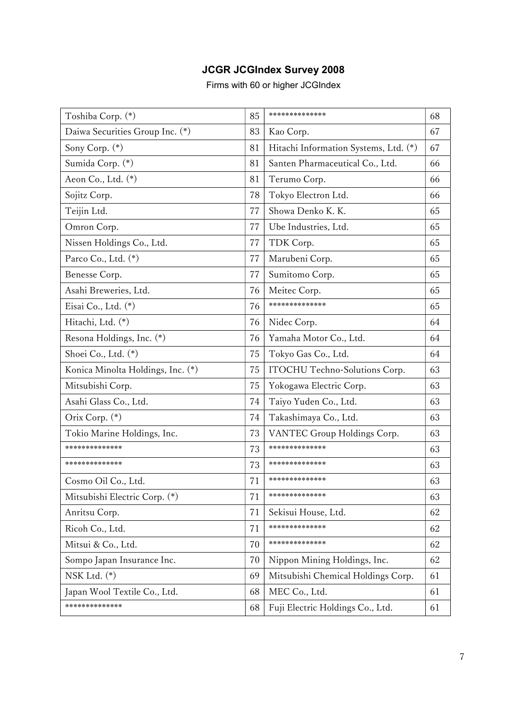## JCGR JCGIndex Survey 2008

Firms with 60 or higher JCGIndex

| Toshiba Corp. (*)                 | 85 | **************                        | 68 |
|-----------------------------------|----|---------------------------------------|----|
| Daiwa Securities Group Inc. (*)   | 83 | Kao Corp.                             | 67 |
| Sony Corp. (*)                    | 81 | Hitachi Information Systems, Ltd. (*) | 67 |
| Sumida Corp. (*)                  | 81 | Santen Pharmaceutical Co., Ltd.       | 66 |
| Aeon Co., Ltd. (*)                | 81 | Terumo Corp.                          | 66 |
| Sojitz Corp.                      | 78 | Tokyo Electron Ltd.                   | 66 |
| Teijin Ltd.                       | 77 | Showa Denko K. K.                     | 65 |
| Omron Corp.                       | 77 | Ube Industries, Ltd.                  | 65 |
| Nissen Holdings Co., Ltd.         | 77 | TDK Corp.                             | 65 |
| Parco Co., Ltd. (*)               | 77 | Marubeni Corp.                        | 65 |
| Benesse Corp.                     | 77 | Sumitomo Corp.                        | 65 |
| Asahi Breweries, Ltd.             | 76 | Meitec Corp.                          | 65 |
| Eisai Co., Ltd. (*)               | 76 | **************                        | 65 |
| Hitachi, Ltd. (*)                 | 76 | Nidec Corp.                           | 64 |
| Resona Holdings, Inc. (*)         | 76 | Yamaha Motor Co., Ltd.                | 64 |
| Shoei Co., Ltd. (*)               | 75 | Tokyo Gas Co., Ltd.                   | 64 |
| Konica Minolta Holdings, Inc. (*) | 75 | ITOCHU Techno-Solutions Corp.         | 63 |
| Mitsubishi Corp.                  | 75 | Yokogawa Electric Corp.               | 63 |
| Asahi Glass Co., Ltd.             | 74 | Taiyo Yuden Co., Ltd.                 | 63 |
| Orix Corp. (*)                    | 74 | Takashimaya Co., Ltd.                 | 63 |
| Tokio Marine Holdings, Inc.       | 73 | VANTEC Group Holdings Corp.           | 63 |
| **************                    | 73 | **************                        | 63 |
| **************                    | 73 | **************                        | 63 |
| Cosmo Oil Co., Ltd.               | 71 | **************                        | 63 |
| Mitsubishi Electric Corp. (*)     | 71 | *************                         | 63 |
| Anritsu Corp.                     | 71 | Sekisui House, Ltd.                   | 62 |
| Ricoh Co., Ltd.                   | 71 | **************                        | 62 |
| Mitsui & Co., Ltd.                | 70 | **************                        | 62 |
| Sompo Japan Insurance Inc.        | 70 | Nippon Mining Holdings, Inc.          | 62 |
| NSK Ltd. $(*)$                    | 69 | Mitsubishi Chemical Holdings Corp.    | 61 |
| Japan Wool Textile Co., Ltd.      | 68 | MEC Co., Ltd.                         | 61 |
| *************                     | 68 | Fuji Electric Holdings Co., Ltd.      | 61 |